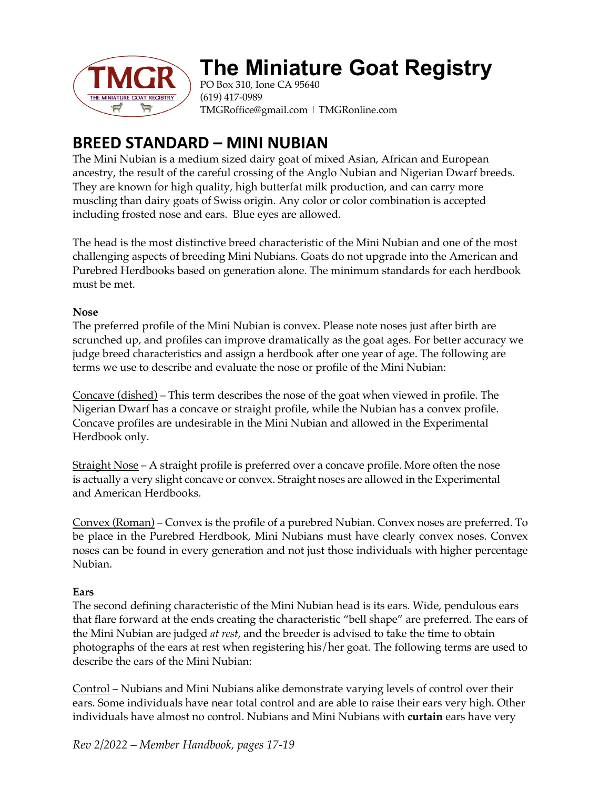

# **The Miniature Goat Registry**

PO Box 310, Ione CA 95640 (619) 417-0989 TMGRoffice@gmail.com | TMGRonline.com

# **BREED STANDARD – MINI NUBIAN**

The Mini Nubian is a medium sized dairy goat of mixed Asian, African and European ancestry, the result of the careful crossing of the Anglo Nubian and Nigerian Dwarf breeds. They are known for high quality, high butterfat milk production, and can carry more muscling than dairy goats of Swiss origin. Any color or color combination is accepted including frosted nose and ears. Blue eyes are allowed.

The head is the most distinctive breed characteristic of the Mini Nubian and one of the most challenging aspects of breeding Mini Nubians. Goats do not upgrade into the American and Purebred Herdbooks based on generation alone. The minimum standards for each herdbook must be met.

### **Nose**

The preferred profile of the Mini Nubian is convex. Please note noses just after birth are scrunched up, and profiles can improve dramatically as the goat ages. For better accuracy we judge breed characteristics and assign a herdbook after one year of age. The following are terms we use to describe and evaluate the nose or profile of the Mini Nubian:

Concave (dished) – This term describes the nose of the goat when viewed in profile. The Nigerian Dwarf has a concave or straight profile, while the Nubian has a convex profile. Concave profiles are undesirable in the Mini Nubian and allowed in the Experimental Herdbook only.

Straight Nose – A straight profile is preferred over a concave profile. More often the nose is actually a very slight concave or convex. Straight noses are allowed in the Experimental and American Herdbooks.

Convex (Roman) – Convex is the profile of a purebred Nubian. Convex noses are preferred. To be place in the Purebred Herdbook, Mini Nubians must have clearly convex noses. Convex noses can be found in every generation and not just those individuals with higher percentage Nubian.

## **Ears**

The second defining characteristic of the Mini Nubian head is its ears. Wide, pendulous ears that flare forward at the ends creating the characteristic "bell shape" are preferred. The ears of the Mini Nubian are judged *at rest*, and the breeder is advised to take the time to obtain photographs of the ears at rest when registering his/her goat. The following terms are used to describe the ears of the Mini Nubian:

Control – Nubians and Mini Nubians alike demonstrate varying levels of control over their ears. Some individuals have near total control and are able to raise their ears very high. Other individuals have almost no control. Nubians and Mini Nubians with **curtain** ears have very